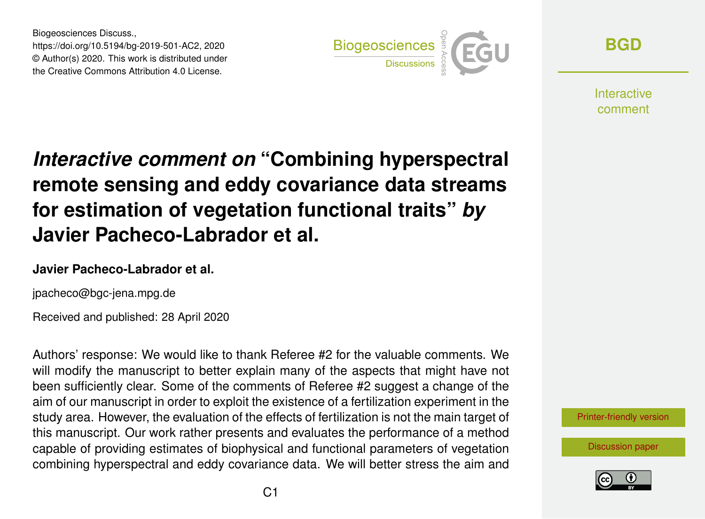Biogeosciences Discuss., https://doi.org/10.5194/bg-2019-501-AC2, 2020 © Author(s) 2020. This work is distributed under the Creative Commons Attribution 4.0 License.



**[BGD](https://www.biogeosciences-discuss.net/)**

**Interactive** comment

# *Interactive comment on* **"Combining hyperspectral remote sensing and eddy covariance data streams for estimation of vegetation functional traits"** *by* **Javier Pacheco-Labrador et al.**

#### **Javier Pacheco-Labrador et al.**

jpacheco@bgc-jena.mpg.de

Received and published: 28 April 2020

Authors' response: We would like to thank Referee #2 for the valuable comments. We will modify the manuscript to better explain many of the aspects that might have not been sufficiently clear. Some of the comments of Referee #2 suggest a change of the aim of our manuscript in order to exploit the existence of a fertilization experiment in the study area. However, the evaluation of the effects of fertilization is not the main target of this manuscript. Our work rather presents and evaluates the performance of a method capable of providing estimates of biophysical and functional parameters of vegetation combining hyperspectral and eddy covariance data. We will better stress the aim and



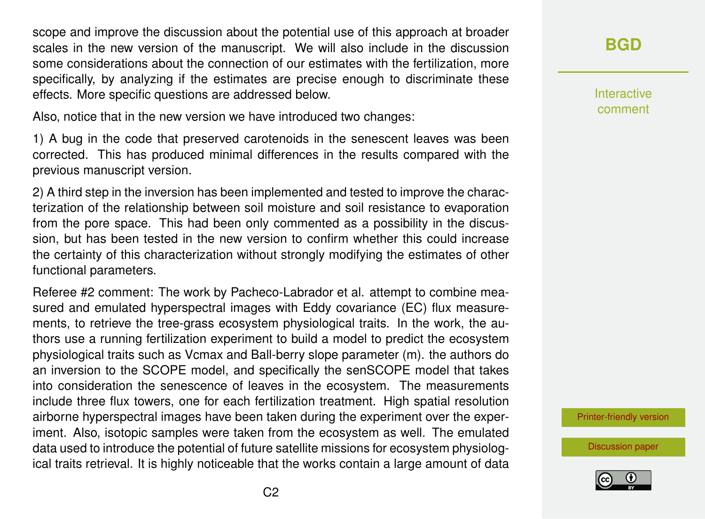scope and improve the discussion about the potential use of this approach at broader scales in the new version of the manuscript. We will also include in the discussion some considerations about the connection of our estimates with the fertilization, more specifically, by analyzing if the estimates are precise enough to discriminate these effects. More specific questions are addressed below.

Also, notice that in the new version we have introduced two changes:

1) A bug in the code that preserved carotenoids in the senescent leaves was been corrected. This has produced minimal differences in the results compared with the previous manuscript version.

2) A third step in the inversion has been implemented and tested to improve the characterization of the relationship between soil moisture and soil resistance to evaporation from the pore space. This had been only commented as a possibility in the discussion, but has been tested in the new version to confirm whether this could increase the certainty of this characterization without strongly modifying the estimates of other functional parameters.

Referee #2 comment: The work by Pacheco-Labrador et al. attempt to combine measured and emulated hyperspectral images with Eddy covariance (EC) flux measurements, to retrieve the tree-grass ecosystem physiological traits. In the work, the authors use a running fertilization experiment to build a model to predict the ecosystem physiological traits such as Vcmax and Ball-berry slope parameter (m). the authors do an inversion to the SCOPE model, and specifically the senSCOPE model that takes into consideration the senescence of leaves in the ecosystem. The measurements include three flux towers, one for each fertilization treatment. High spatial resolution airborne hyperspectral images have been taken during the experiment over the experiment. Also, isotopic samples were taken from the ecosystem as well. The emulated data used to introduce the potential of future satellite missions for ecosystem physiological traits retrieval. It is highly noticeable that the works contain a large amount of data

# **[BGD](https://www.biogeosciences-discuss.net/)**

Interactive comment

[Printer-friendly version](https://www.biogeosciences-discuss.net/bg-2019-501/bg-2019-501-AC2-print.pdf)

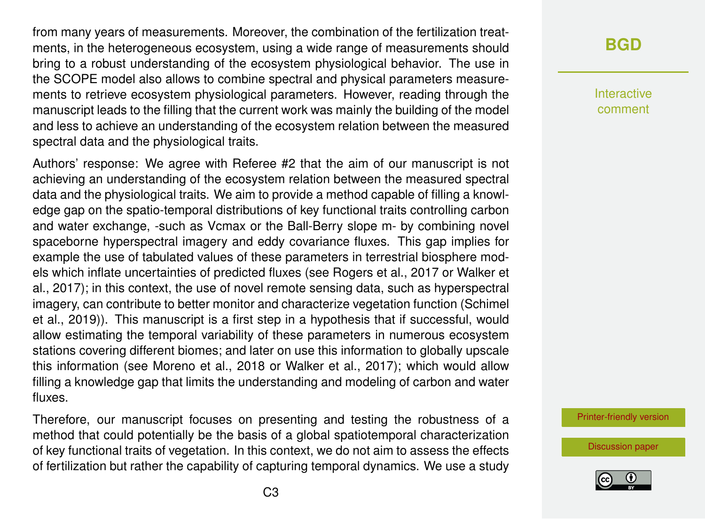from many years of measurements. Moreover, the combination of the fertilization treatments, in the heterogeneous ecosystem, using a wide range of measurements should bring to a robust understanding of the ecosystem physiological behavior. The use in the SCOPE model also allows to combine spectral and physical parameters measurements to retrieve ecosystem physiological parameters. However, reading through the manuscript leads to the filling that the current work was mainly the building of the model and less to achieve an understanding of the ecosystem relation between the measured spectral data and the physiological traits.

Authors' response: We agree with Referee #2 that the aim of our manuscript is not achieving an understanding of the ecosystem relation between the measured spectral data and the physiological traits. We aim to provide a method capable of filling a knowledge gap on the spatio-temporal distributions of key functional traits controlling carbon and water exchange, -such as Vcmax or the Ball-Berry slope m- by combining novel spaceborne hyperspectral imagery and eddy covariance fluxes. This gap implies for example the use of tabulated values of these parameters in terrestrial biosphere models which inflate uncertainties of predicted fluxes (see Rogers et al., 2017 or Walker et al., 2017); in this context, the use of novel remote sensing data, such as hyperspectral imagery, can contribute to better monitor and characterize vegetation function (Schimel et al., 2019)). This manuscript is a first step in a hypothesis that if successful, would allow estimating the temporal variability of these parameters in numerous ecosystem stations covering different biomes; and later on use this information to globally upscale this information (see Moreno et al., 2018 or Walker et al., 2017); which would allow filling a knowledge gap that limits the understanding and modeling of carbon and water fluxes.

Therefore, our manuscript focuses on presenting and testing the robustness of a method that could potentially be the basis of a global spatiotemporal characterization of key functional traits of vegetation. In this context, we do not aim to assess the effects of fertilization but rather the capability of capturing temporal dynamics. We use a study

# **[BGD](https://www.biogeosciences-discuss.net/)**

Interactive comment

[Printer-friendly version](https://www.biogeosciences-discuss.net/bg-2019-501/bg-2019-501-AC2-print.pdf)

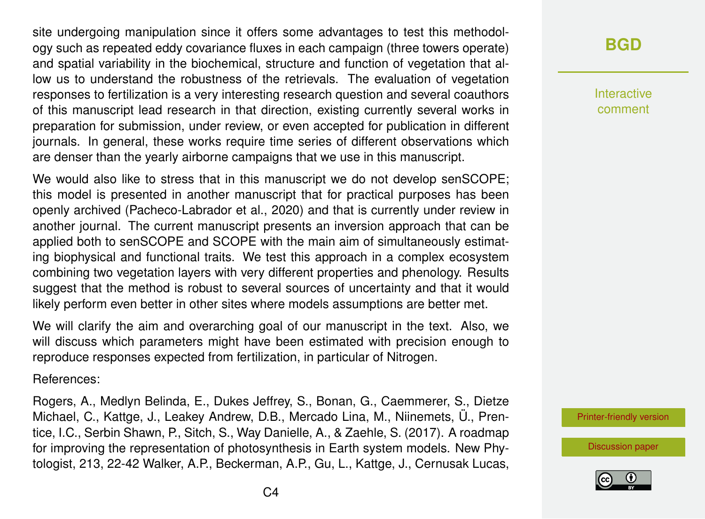site undergoing manipulation since it offers some advantages to test this methodology such as repeated eddy covariance fluxes in each campaign (three towers operate) and spatial variability in the biochemical, structure and function of vegetation that allow us to understand the robustness of the retrievals. The evaluation of vegetation responses to fertilization is a very interesting research question and several coauthors of this manuscript lead research in that direction, existing currently several works in preparation for submission, under review, or even accepted for publication in different journals. In general, these works require time series of different observations which are denser than the yearly airborne campaigns that we use in this manuscript.

We would also like to stress that in this manuscript we do not develop senSCOPE; this model is presented in another manuscript that for practical purposes has been openly archived (Pacheco-Labrador et al., 2020) and that is currently under review in another journal. The current manuscript presents an inversion approach that can be applied both to senSCOPE and SCOPE with the main aim of simultaneously estimating biophysical and functional traits. We test this approach in a complex ecosystem combining two vegetation layers with very different properties and phenology. Results suggest that the method is robust to several sources of uncertainty and that it would likely perform even better in other sites where models assumptions are better met.

We will clarify the aim and overarching goal of our manuscript in the text. Also, we will discuss which parameters might have been estimated with precision enough to reproduce responses expected from fertilization, in particular of Nitrogen.

References:

Rogers, A., Medlyn Belinda, E., Dukes Jeffrey, S., Bonan, G., Caemmerer, S., Dietze Michael, C., Kattge, J., Leakey Andrew, D.B., Mercado Lina, M., Niinemets, Ü., Prentice, I.C., Serbin Shawn, P., Sitch, S., Way Danielle, A., & Zaehle, S. (2017). A roadmap for improving the representation of photosynthesis in Earth system models. New Phytologist, 213, 22-42 Walker, A.P., Beckerman, A.P., Gu, L., Kattge, J., Cernusak Lucas,

# **[BGD](https://www.biogeosciences-discuss.net/)**

Interactive comment

[Printer-friendly version](https://www.biogeosciences-discuss.net/bg-2019-501/bg-2019-501-AC2-print.pdf)

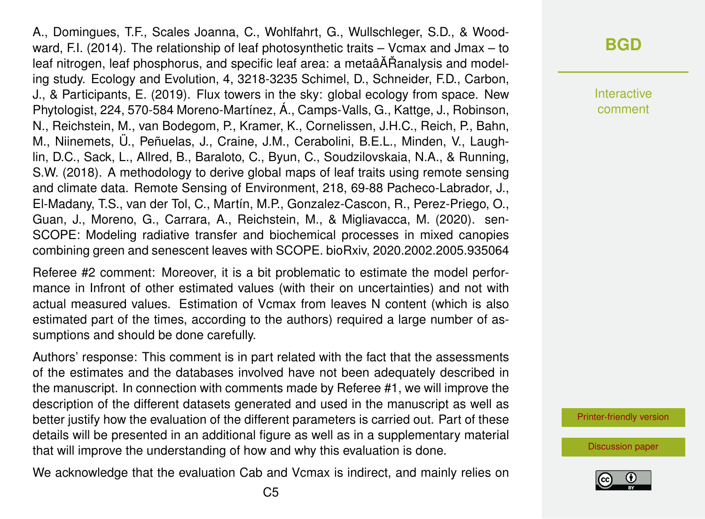A., Domingues, T.F., Scales Joanna, C., Wohlfahrt, G., Wullschleger, S.D., & Woodward, F.I. (2014). The relationship of leaf photosynthetic traits – Vcmax and Jmax – to leaf nitrogen, leaf phosphorus, and specific leaf area: a metaâ $\tilde{A}$ Ranalysis and modeling study. Ecology and Evolution, 4, 3218-3235 Schimel, D., Schneider, F.D., Carbon, J., & Participants, E. (2019). Flux towers in the sky: global ecology from space. New Phytologist, 224, 570-584 Moreno-Martínez, Á., Camps-Valls, G., Kattge, J., Robinson, N., Reichstein, M., van Bodegom, P., Kramer, K., Cornelissen, J.H.C., Reich, P., Bahn, M., Niinemets, Ü., Peñuelas, J., Craine, J.M., Cerabolini, B.E.L., Minden, V., Laughlin, D.C., Sack, L., Allred, B., Baraloto, C., Byun, C., Soudzilovskaia, N.A., & Running, S.W. (2018). A methodology to derive global maps of leaf traits using remote sensing and climate data. Remote Sensing of Environment, 218, 69-88 Pacheco-Labrador, J., El-Madany, T.S., van der Tol, C., Martín, M.P., Gonzalez-Cascon, R., Perez-Priego, O., Guan, J., Moreno, G., Carrara, A., Reichstein, M., & Migliavacca, M. (2020). sen-SCOPE: Modeling radiative transfer and biochemical processes in mixed canopies combining green and senescent leaves with SCOPE. bioRxiv, 2020.2002.2005.935064

Referee #2 comment: Moreover, it is a bit problematic to estimate the model performance in Infront of other estimated values (with their on uncertainties) and not with actual measured values. Estimation of Vcmax from leaves N content (which is also estimated part of the times, according to the authors) required a large number of assumptions and should be done carefully.

Authors' response: This comment is in part related with the fact that the assessments of the estimates and the databases involved have not been adequately described in the manuscript. In connection with comments made by Referee #1, we will improve the description of the different datasets generated and used in the manuscript as well as better justify how the evaluation of the different parameters is carried out. Part of these details will be presented in an additional figure as well as in a supplementary material that will improve the understanding of how and why this evaluation is done.

We acknowledge that the evaluation Cab and Vcmax is indirect, and mainly relies on

**[BGD](https://www.biogeosciences-discuss.net/)**

Interactive comment

[Printer-friendly version](https://www.biogeosciences-discuss.net/bg-2019-501/bg-2019-501-AC2-print.pdf)

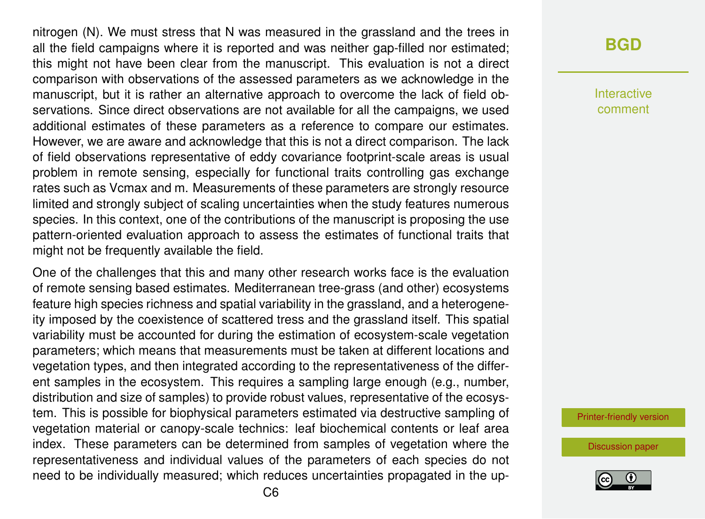nitrogen (N). We must stress that N was measured in the grassland and the trees in all the field campaigns where it is reported and was neither gap-filled nor estimated; this might not have been clear from the manuscript. This evaluation is not a direct comparison with observations of the assessed parameters as we acknowledge in the manuscript, but it is rather an alternative approach to overcome the lack of field observations. Since direct observations are not available for all the campaigns, we used additional estimates of these parameters as a reference to compare our estimates. However, we are aware and acknowledge that this is not a direct comparison. The lack of field observations representative of eddy covariance footprint-scale areas is usual problem in remote sensing, especially for functional traits controlling gas exchange rates such as Vcmax and m. Measurements of these parameters are strongly resource limited and strongly subject of scaling uncertainties when the study features numerous species. In this context, one of the contributions of the manuscript is proposing the use pattern-oriented evaluation approach to assess the estimates of functional traits that might not be frequently available the field.

One of the challenges that this and many other research works face is the evaluation of remote sensing based estimates. Mediterranean tree-grass (and other) ecosystems feature high species richness and spatial variability in the grassland, and a heterogeneity imposed by the coexistence of scattered tress and the grassland itself. This spatial variability must be accounted for during the estimation of ecosystem-scale vegetation parameters; which means that measurements must be taken at different locations and vegetation types, and then integrated according to the representativeness of the different samples in the ecosystem. This requires a sampling large enough (e.g., number, distribution and size of samples) to provide robust values, representative of the ecosystem. This is possible for biophysical parameters estimated via destructive sampling of vegetation material or canopy-scale technics: leaf biochemical contents or leaf area index. These parameters can be determined from samples of vegetation where the representativeness and individual values of the parameters of each species do not need to be individually measured; which reduces uncertainties propagated in the up**[BGD](https://www.biogeosciences-discuss.net/)**

Interactive comment

[Printer-friendly version](https://www.biogeosciences-discuss.net/bg-2019-501/bg-2019-501-AC2-print.pdf)

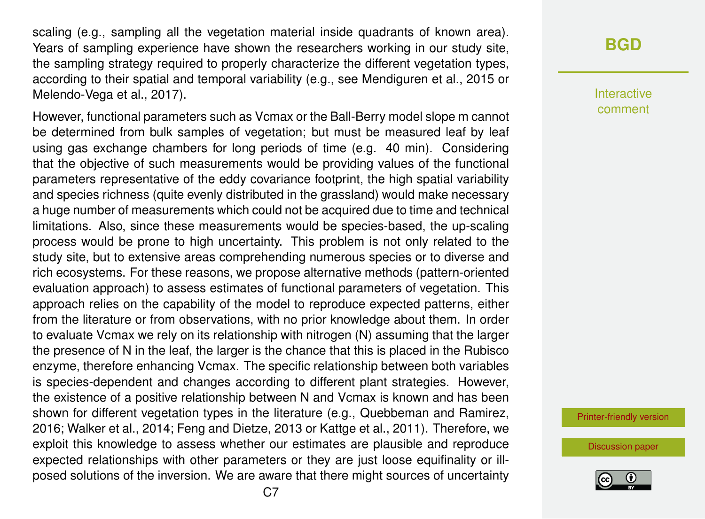scaling (e.g., sampling all the vegetation material inside quadrants of known area). Years of sampling experience have shown the researchers working in our study site, the sampling strategy required to properly characterize the different vegetation types, according to their spatial and temporal variability (e.g., see Mendiguren et al., 2015 or Melendo-Vega et al., 2017).

However, functional parameters such as Vcmax or the Ball-Berry model slope m cannot be determined from bulk samples of vegetation; but must be measured leaf by leaf using gas exchange chambers for long periods of time (e.g. 40 min). Considering that the objective of such measurements would be providing values of the functional parameters representative of the eddy covariance footprint, the high spatial variability and species richness (quite evenly distributed in the grassland) would make necessary a huge number of measurements which could not be acquired due to time and technical limitations. Also, since these measurements would be species-based, the up-scaling process would be prone to high uncertainty. This problem is not only related to the study site, but to extensive areas comprehending numerous species or to diverse and rich ecosystems. For these reasons, we propose alternative methods (pattern-oriented evaluation approach) to assess estimates of functional parameters of vegetation. This approach relies on the capability of the model to reproduce expected patterns, either from the literature or from observations, with no prior knowledge about them. In order to evaluate Vcmax we rely on its relationship with nitrogen (N) assuming that the larger the presence of N in the leaf, the larger is the chance that this is placed in the Rubisco enzyme, therefore enhancing Vcmax. The specific relationship between both variables is species-dependent and changes according to different plant strategies. However, the existence of a positive relationship between N and Vcmax is known and has been shown for different vegetation types in the literature (e.g., Quebbeman and Ramirez, 2016; Walker et al., 2014; Feng and Dietze, 2013 or Kattge et al., 2011). Therefore, we exploit this knowledge to assess whether our estimates are plausible and reproduce expected relationships with other parameters or they are just loose equifinality or illposed solutions of the inversion. We are aware that there might sources of uncertainty

#### **[BGD](https://www.biogeosciences-discuss.net/)**

Interactive comment

[Printer-friendly version](https://www.biogeosciences-discuss.net/bg-2019-501/bg-2019-501-AC2-print.pdf)

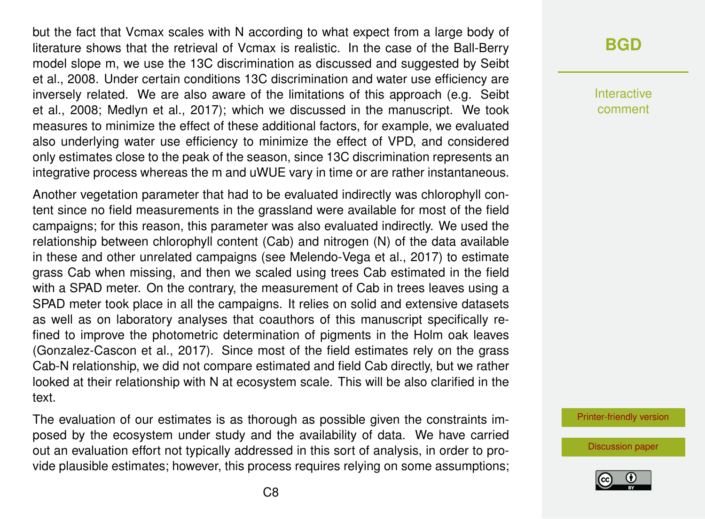but the fact that Vcmax scales with N according to what expect from a large body of literature shows that the retrieval of Vcmax is realistic. In the case of the Ball-Berry model slope m, we use the 13C discrimination as discussed and suggested by Seibt et al., 2008. Under certain conditions 13C discrimination and water use efficiency are inversely related. We are also aware of the limitations of this approach (e.g. Seibt et al., 2008; Medlyn et al., 2017); which we discussed in the manuscript. We took measures to minimize the effect of these additional factors, for example, we evaluated also underlying water use efficiency to minimize the effect of VPD, and considered only estimates close to the peak of the season, since 13C discrimination represents an integrative process whereas the m and uWUE vary in time or are rather instantaneous.

Another vegetation parameter that had to be evaluated indirectly was chlorophyll content since no field measurements in the grassland were available for most of the field campaigns; for this reason, this parameter was also evaluated indirectly. We used the relationship between chlorophyll content (Cab) and nitrogen (N) of the data available in these and other unrelated campaigns (see Melendo-Vega et al., 2017) to estimate grass Cab when missing, and then we scaled using trees Cab estimated in the field with a SPAD meter. On the contrary, the measurement of Cab in trees leaves using a SPAD meter took place in all the campaigns. It relies on solid and extensive datasets as well as on laboratory analyses that coauthors of this manuscript specifically refined to improve the photometric determination of pigments in the Holm oak leaves (Gonzalez-Cascon et al., 2017). Since most of the field estimates rely on the grass Cab-N relationship, we did not compare estimated and field Cab directly, but we rather looked at their relationship with N at ecosystem scale. This will be also clarified in the text.

The evaluation of our estimates is as thorough as possible given the constraints imposed by the ecosystem under study and the availability of data. We have carried out an evaluation effort not typically addressed in this sort of analysis, in order to provide plausible estimates; however, this process requires relying on some assumptions;

# **[BGD](https://www.biogeosciences-discuss.net/)**

Interactive comment

[Printer-friendly version](https://www.biogeosciences-discuss.net/bg-2019-501/bg-2019-501-AC2-print.pdf)

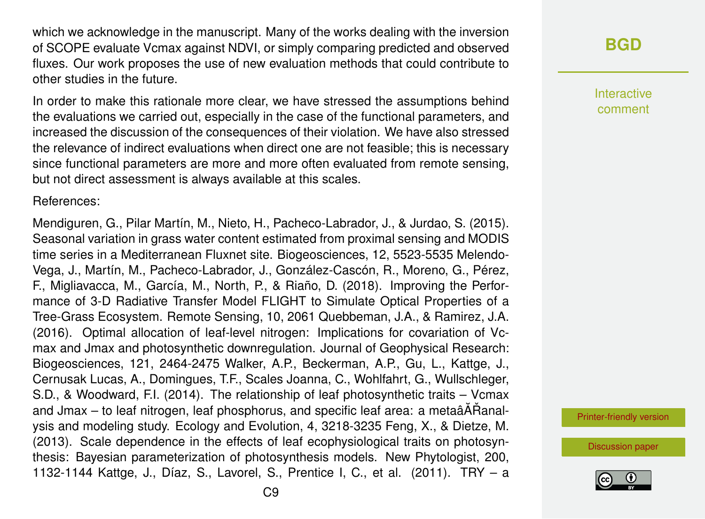which we acknowledge in the manuscript. Many of the works dealing with the inversion of SCOPE evaluate Vcmax against NDVI, or simply comparing predicted and observed fluxes. Our work proposes the use of new evaluation methods that could contribute to other studies in the future.

In order to make this rationale more clear, we have stressed the assumptions behind the evaluations we carried out, especially in the case of the functional parameters, and increased the discussion of the consequences of their violation. We have also stressed the relevance of indirect evaluations when direct one are not feasible; this is necessary since functional parameters are more and more often evaluated from remote sensing, but not direct assessment is always available at this scales.

References:

Mendiguren, G., Pilar Martín, M., Nieto, H., Pacheco-Labrador, J., & Jurdao, S. (2015). Seasonal variation in grass water content estimated from proximal sensing and MODIS time series in a Mediterranean Fluxnet site. Biogeosciences, 12, 5523-5535 Melendo-Vega, J., Martín, M., Pacheco-Labrador, J., González-Cascón, R., Moreno, G., Pérez, F., Migliavacca, M., García, M., North, P., & Riaño, D. (2018). Improving the Performance of 3-D Radiative Transfer Model FLIGHT to Simulate Optical Properties of a Tree-Grass Ecosystem. Remote Sensing, 10, 2061 Quebbeman, J.A., & Ramirez, J.A. (2016). Optimal allocation of leaf-level nitrogen: Implications for covariation of Vcmax and Jmax and photosynthetic downregulation. Journal of Geophysical Research: Biogeosciences, 121, 2464-2475 Walker, A.P., Beckerman, A.P., Gu, L., Kattge, J., Cernusak Lucas, A., Domingues, T.F., Scales Joanna, C., Wohlfahrt, G., Wullschleger, S.D., & Woodward, F.I. (2014). The relationship of leaf photosynthetic traits – Vcmax and Jmax – to leaf nitrogen, leaf phosphorus, and specific leaf area: a metaâÅÅanalysis and modeling study. Ecology and Evolution, 4, 3218-3235 Feng, X., & Dietze, M. (2013). Scale dependence in the effects of leaf ecophysiological traits on photosynthesis: Bayesian parameterization of photosynthesis models. New Phytologist, 200, 1132-1144 Kattge, J., Díaz, S., Lavorel, S., Prentice I, C., et al. (2011). TRY – a **[BGD](https://www.biogeosciences-discuss.net/)**

Interactive comment

[Printer-friendly version](https://www.biogeosciences-discuss.net/bg-2019-501/bg-2019-501-AC2-print.pdf)

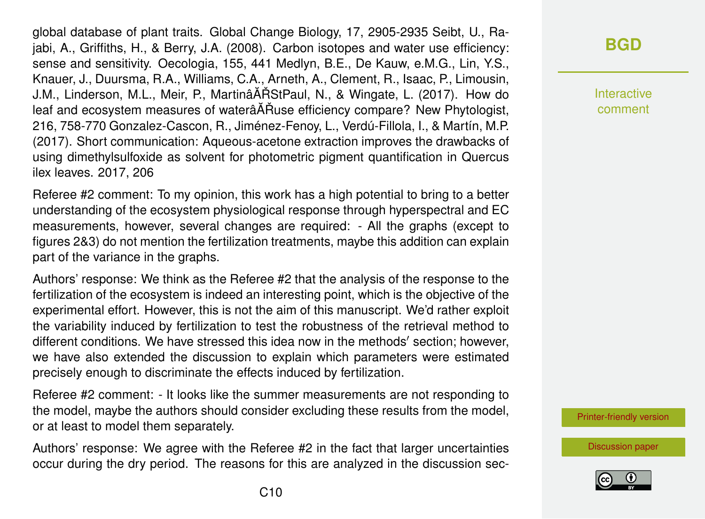global database of plant traits. Global Change Biology, 17, 2905-2935 Seibt, U., Rajabi, A., Griffiths, H., & Berry, J.A. (2008). Carbon isotopes and water use efficiency: sense and sensitivity. Oecologia, 155, 441 Medlyn, B.E., De Kauw, e.M.G., Lin, Y.S., Knauer, J., Duursma, R.A., Williams, C.A., Arneth, A., Clement, R., Isaac, P., Limousin, J.M., Linderson, M.L., Meir, P., MartinâĂŘStPaul, N., & Wingate, L. (2017). How do leaf and ecosystem measures of waterâ $\tilde{A}$ Ruse efficiency compare? New Phytologist, 216, 758-770 Gonzalez-Cascon, R., Jiménez-Fenoy, L., Verdú-Fillola, I., & Martín, M.P. (2017). Short communication: Aqueous-acetone extraction improves the drawbacks of using dimethylsulfoxide as solvent for photometric pigment quantification in Quercus ilex leaves. 2017, 206

Referee #2 comment: To my opinion, this work has a high potential to bring to a better understanding of the ecosystem physiological response through hyperspectral and EC measurements, however, several changes are required: - All the graphs (except to figures 2&3) do not mention the fertilization treatments, maybe this addition can explain part of the variance in the graphs.

Authors' response: We think as the Referee #2 that the analysis of the response to the fertilization of the ecosystem is indeed an interesting point, which is the objective of the experimental effort. However, this is not the aim of this manuscript. We'd rather exploit the variability induced by fertilization to test the robustness of the retrieval method to different conditions. We have stressed this idea now in the methods' section; however, we have also extended the discussion to explain which parameters were estimated precisely enough to discriminate the effects induced by fertilization.

Referee #2 comment: - It looks like the summer measurements are not responding to the model, maybe the authors should consider excluding these results from the model, or at least to model them separately.

Authors' response: We agree with the Referee #2 in the fact that larger uncertainties occur during the dry period. The reasons for this are analyzed in the discussion sec-

# **[BGD](https://www.biogeosciences-discuss.net/)**

Interactive comment

[Printer-friendly version](https://www.biogeosciences-discuss.net/bg-2019-501/bg-2019-501-AC2-print.pdf)

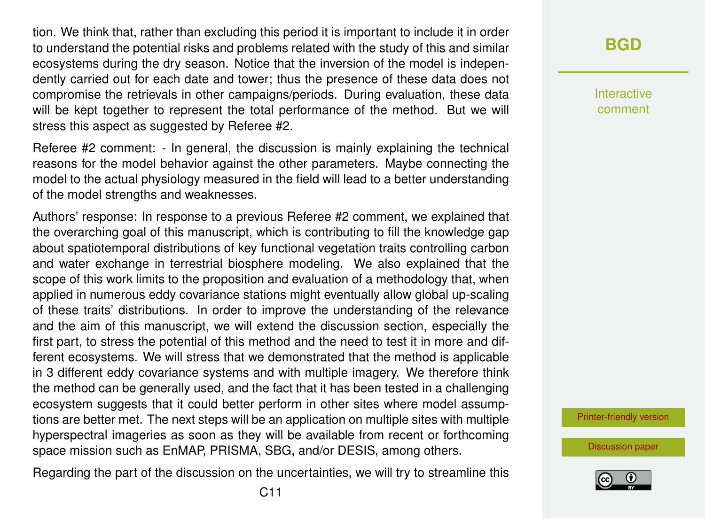tion. We think that, rather than excluding this period it is important to include it in order to understand the potential risks and problems related with the study of this and similar ecosystems during the dry season. Notice that the inversion of the model is independently carried out for each date and tower; thus the presence of these data does not compromise the retrievals in other campaigns/periods. During evaluation, these data will be kept together to represent the total performance of the method. But we will stress this aspect as suggested by Referee #2.

Referee #2 comment: - In general, the discussion is mainly explaining the technical reasons for the model behavior against the other parameters. Maybe connecting the model to the actual physiology measured in the field will lead to a better understanding of the model strengths and weaknesses.

Authors' response: In response to a previous Referee #2 comment, we explained that the overarching goal of this manuscript, which is contributing to fill the knowledge gap about spatiotemporal distributions of key functional vegetation traits controlling carbon and water exchange in terrestrial biosphere modeling. We also explained that the scope of this work limits to the proposition and evaluation of a methodology that, when applied in numerous eddy covariance stations might eventually allow global up-scaling of these traits' distributions. In order to improve the understanding of the relevance and the aim of this manuscript, we will extend the discussion section, especially the first part, to stress the potential of this method and the need to test it in more and different ecosystems. We will stress that we demonstrated that the method is applicable in 3 different eddy covariance systems and with multiple imagery. We therefore think the method can be generally used, and the fact that it has been tested in a challenging ecosystem suggests that it could better perform in other sites where model assumptions are better met. The next steps will be an application on multiple sites with multiple hyperspectral imageries as soon as they will be available from recent or forthcoming space mission such as EnMAP, PRISMA, SBG, and/or DESIS, among others.

Regarding the part of the discussion on the uncertainties, we will try to streamline this

Interactive comment

[Printer-friendly version](https://www.biogeosciences-discuss.net/bg-2019-501/bg-2019-501-AC2-print.pdf)

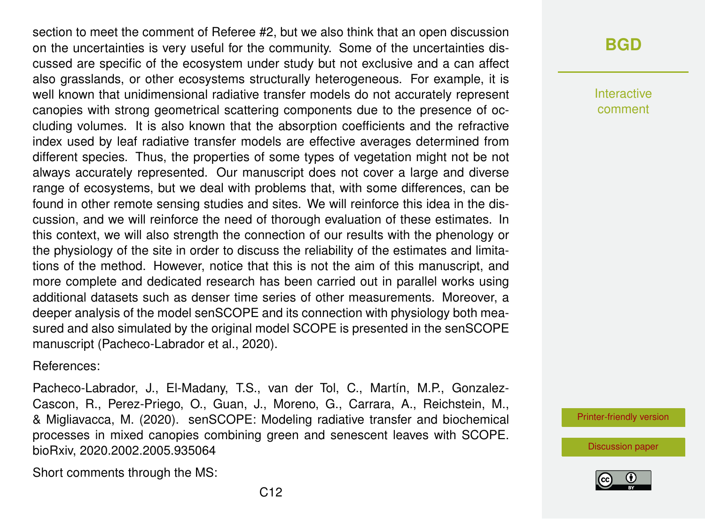section to meet the comment of Referee #2, but we also think that an open discussion on the uncertainties is very useful for the community. Some of the uncertainties discussed are specific of the ecosystem under study but not exclusive and a can affect also grasslands, or other ecosystems structurally heterogeneous. For example, it is well known that unidimensional radiative transfer models do not accurately represent canopies with strong geometrical scattering components due to the presence of occluding volumes. It is also known that the absorption coefficients and the refractive index used by leaf radiative transfer models are effective averages determined from different species. Thus, the properties of some types of vegetation might not be not always accurately represented. Our manuscript does not cover a large and diverse range of ecosystems, but we deal with problems that, with some differences, can be found in other remote sensing studies and sites. We will reinforce this idea in the discussion, and we will reinforce the need of thorough evaluation of these estimates. In this context, we will also strength the connection of our results with the phenology or the physiology of the site in order to discuss the reliability of the estimates and limitations of the method. However, notice that this is not the aim of this manuscript, and more complete and dedicated research has been carried out in parallel works using additional datasets such as denser time series of other measurements. Moreover, a deeper analysis of the model senSCOPE and its connection with physiology both measured and also simulated by the original model SCOPE is presented in the senSCOPE manuscript (Pacheco-Labrador et al., 2020).

References:

Short comments through the MS:

Pacheco-Labrador, J., El-Madany, T.S., van der Tol, C., Martín, M.P., Gonzalez-Cascon, R., Perez-Priego, O., Guan, J., Moreno, G., Carrara, A., Reichstein, M., & Migliavacca, M. (2020). senSCOPE: Modeling radiative transfer and biochemical processes in mixed canopies combining green and senescent leaves with SCOPE. bioRxiv, 2020.2002.2005.935064

**[BGD](https://www.biogeosciences-discuss.net/)**

**Interactive** comment

[Printer-friendly version](https://www.biogeosciences-discuss.net/bg-2019-501/bg-2019-501-AC2-print.pdf)

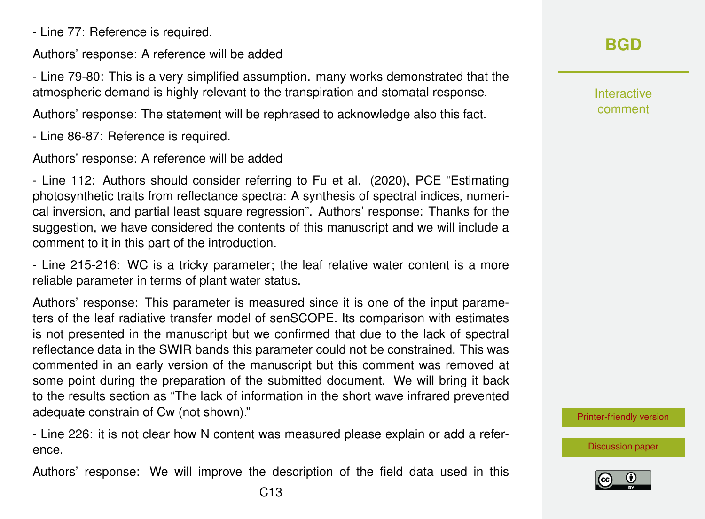- Line 77: Reference is required.

Authors' response: A reference will be added

- Line 79-80: This is a very simplified assumption. many works demonstrated that the atmospheric demand is highly relevant to the transpiration and stomatal response.

Authors' response: The statement will be rephrased to acknowledge also this fact.

- Line 86-87: Reference is required.

Authors' response: A reference will be added

- Line 112: Authors should consider referring to Fu et al. (2020), PCE "Estimating photosynthetic traits from reflectance spectra: A synthesis of spectral indices, numerical inversion, and partial least square regression". Authors' response: Thanks for the suggestion, we have considered the contents of this manuscript and we will include a comment to it in this part of the introduction.

- Line 215-216: WC is a tricky parameter; the leaf relative water content is a more reliable parameter in terms of plant water status.

Authors' response: This parameter is measured since it is one of the input parameters of the leaf radiative transfer model of senSCOPE. Its comparison with estimates is not presented in the manuscript but we confirmed that due to the lack of spectral reflectance data in the SWIR bands this parameter could not be constrained. This was commented in an early version of the manuscript but this comment was removed at some point during the preparation of the submitted document. We will bring it back to the results section as "The lack of information in the short wave infrared prevented adequate constrain of Cw (not shown)."

- Line 226: it is not clear how N content was measured please explain or add a reference.

Authors' response: We will improve the description of the field data used in this

Interactive comment

[Printer-friendly version](https://www.biogeosciences-discuss.net/bg-2019-501/bg-2019-501-AC2-print.pdf)

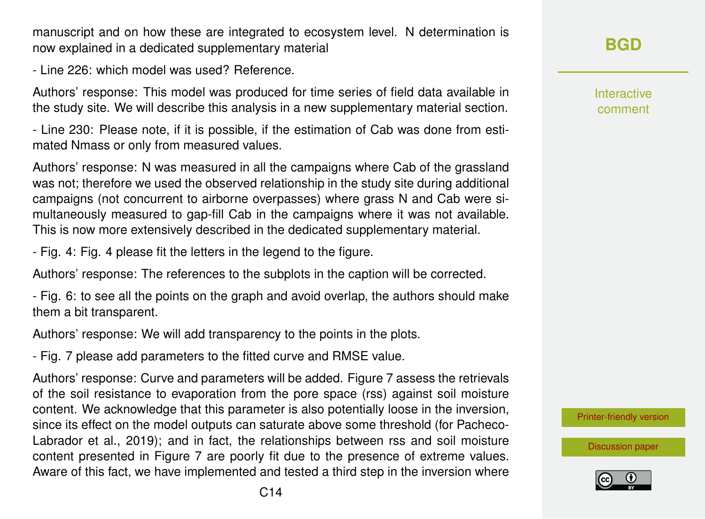C14

manuscript and on how these are integrated to ecosystem level. N determination is now explained in a dedicated supplementary material

- Line 226: which model was used? Reference.

Authors' response: This model was produced for time series of field data available in the study site. We will describe this analysis in a new supplementary material section.

- Line 230: Please note, if it is possible, if the estimation of Cab was done from estimated Nmass or only from measured values.

Authors' response: N was measured in all the campaigns where Cab of the grassland was not; therefore we used the observed relationship in the study site during additional campaigns (not concurrent to airborne overpasses) where grass N and Cab were simultaneously measured to gap-fill Cab in the campaigns where it was not available. This is now more extensively described in the dedicated supplementary material.

- Fig. 4: Fig. 4 please fit the letters in the legend to the figure.

Authors' response: The references to the subplots in the caption will be corrected.

- Fig. 6: to see all the points on the graph and avoid overlap, the authors should make them a bit transparent.

Authors' response: We will add transparency to the points in the plots.

- Fig. 7 please add parameters to the fitted curve and RMSE value.

Authors' response: Curve and parameters will be added. Figure 7 assess the retrievals of the soil resistance to evaporation from the pore space (rss) against soil moisture content. We acknowledge that this parameter is also potentially loose in the inversion, since its effect on the model outputs can saturate above some threshold (for Pacheco-Labrador et al., 2019); and in fact, the relationships between rss and soil moisture content presented in Figure 7 are poorly fit due to the presence of extreme values. Aware of this fact, we have implemented and tested a third step in the inversion where Interactive comment

[Printer-friendly version](https://www.biogeosciences-discuss.net/bg-2019-501/bg-2019-501-AC2-print.pdf)